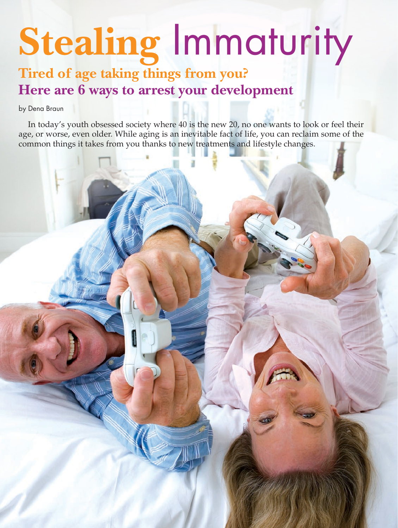# **Stealing** Immaturity

# **Tired of age taking things from you? Here are 6 ways to arrest your development**

by Dena Braun

In today's youth obsessed society where 40 is the new 20, no one wants to look or feel their age, or worse, even older. While aging is an inevitable fact of life, you can reclaim some of the common things it takes from you thanks to new treatments and lifestyle changes.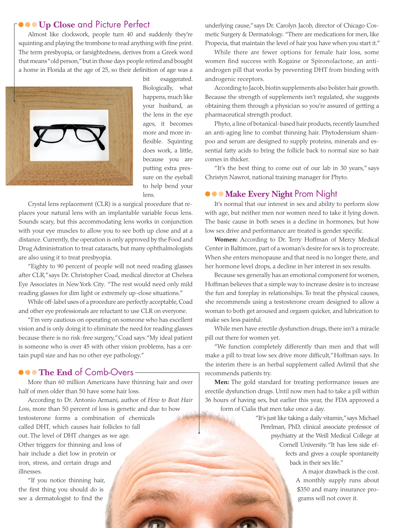## **•••Up Close** and Picture Perfect

Almost like clockwork, people turn 40 and suddenly they're squinting and playing the trombone to read anything with fine print. The term presbyopia, or farsightedness, derives from a Greek word that means "old person," but in those days people retired and bought a home in Florida at the age of 25, so their definition of age was a



bit exaggerated. Biologically, what happens, much like your husband, as the lens in the eye ages, it becomes more and more inflexible. Squinting does work, a little, because you are putting extra pressure on the eyeball to help bend your lens.

Crystal lens replacement (CLR) is a surgical procedure that replaces your natural lens with an implantable variable focus lens. Sounds scary, but this accommodating lens works in conjunction with your eye muscles to allow you to see both up close and at a distance. Currently, the operation is only approved by the Food and Drug Administration to treat cataracts, but many ophthalmologists are also using it to treat presbyopia.

"Eighty to 90 percent of people will not need reading glasses after CLR," says Dr. Christopher Coad, medical director at Chelsea Eye Associates in New York City. "The rest would need only mild reading glasses for dim light or extremely up-close situations."

While off-label uses of a procedure are perfectly acceptable, Coad and other eye professionals are reluctant to use CLR on everyone.

"I'm very cautious on operating on someone who has excellent vision and is only doing it to eliminate the need for reading glasses because there is no risk-free surgery," Coad says. "My ideal patient is someone who is over 45 with other vision problems, has a certain pupil size and has no other eye pathology."

### **•••The End** of Comb-Overs

More than 60 million Americans have thinning hair and over half of men older than 50 have some hair loss.

According to Dr. Antonio Armani, author of *How to Beat Hair Loss*, more than 50 percent of loss is genetic and due to how testosterone forms a combination of chemicals called DHT, which causes hair follicles to fall out. The level of DHT changes as we age. Other triggers for thinning and loss of hair include a diet low in protein or iron, stress, and certain drugs and illnesses.

"If you notice thinning hair, the first thing you should do is see a dermatologist to find the

underlying cause," says Dr. Carolyn Jacob, director of Chicago Cosmetic Surgery & Dermatology. "There are medications for men, like Propecia, that maintain the level of hair you have when you start it."

While there are fewer options for female hair loss, some women find success with Rogaine or Spironolactone, an antiandrogen pill that works by preventing DHT from binding with androgenic receptors.

According to Jacob, biotin supplements also bolster hair growth. Because the strength of supplements isn't regulated, she suggests obtaining them through a physician so you're assured of getting a pharmaceutical strength product.

Phyto, a line of botanical-based hair products, recently launched an anti-aging line to combat thinning hair. Phytodensium shampoo and serum are designed to supply proteins, minerals and essential fatty acids to bring the follicle back to normal size so hair comes in thicker.

"It's the best thing to come out of our lab in 30 years," says Christyn Nawrot, national training manager for Phyto.

#### **••• Make Every Night** Prom Night

It's normal that our interest in sex and ability to perform slow with age, but neither men nor women need to take it lying down. The basic cause in both sexes is a decline in hormones, but how low sex drive and performance are treated is gender specific.

**Women:** According to Dr. Terry Hoffman of Mercy Medical Center in Baltimore, part of a woman's desire for sex is to procreate. When she enters menopause and that need is no longer there, and her hormone level drops, a decline in her interest in sex results.

Because sex generally has an emotional component for women, Hoffman believes that a simple way to increase desire is to increase the fun and foreplay in relationships. To treat the physical causes, she recommends using a testosterone cream designed to allow a woman to both get aroused and orgasm quicker, and lubrication to make sex less painful.

While men have erectile dysfunction drugs, there isn't a miracle pill out there for women yet.

"We function completely differently than men and that will make a pill to treat low sex drive more difficult," Hoffman says. In the interim there is an herbal supplement called Avlimil that she recommends patients try.

**Men:** The gold standard for treating performance issues are erectile dysfunction drugs. Until now men had to take a pill within 36 hours of having sex, but earlier this year, the FDA approved a form of Cialis that men take once a day.

> "It's just like taking a daily vitamin," says Michael Perelman, PhD, clinical associate professor of psychiatry at the Weill Medical College at Cornell University. "It has less side effects and gives a couple spontaneity back in their sex life."

> > A major drawback is the cost. A monthly supply runs about \$350 and many insurance programs will not cover it.